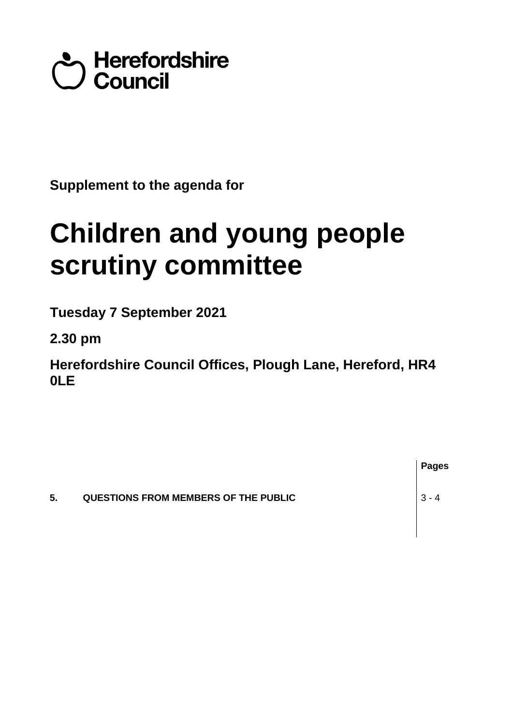## Council<br>Council

**Supplement to the agenda for**

## **Children and young people scrutiny committee**

**Tuesday 7 September 2021**

**2.30 pm**

**Herefordshire Council Offices, Plough Lane, Hereford, HR4 0LE**

|    |                                             | <b>Pages</b> |
|----|---------------------------------------------|--------------|
| 5. | <b>QUESTIONS FROM MEMBERS OF THE PUBLIC</b> | $-3 - 4$     |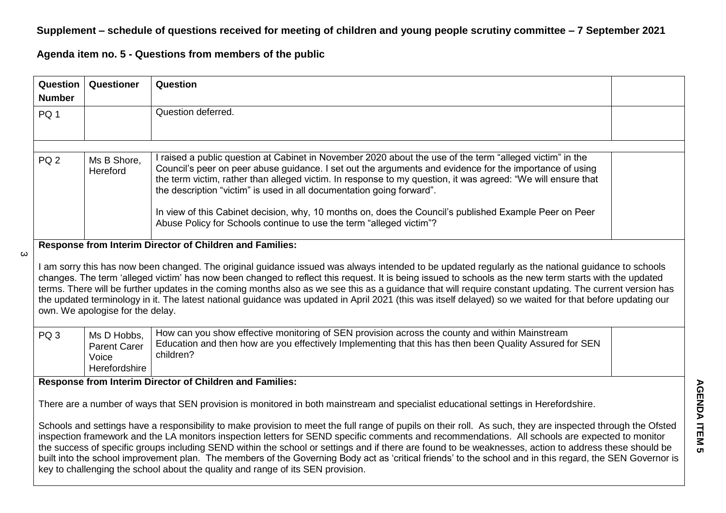## **Supplement – schedule of questions received for meeting of children and young people scrutiny committee – 7 September 2021**

**Agenda item no. 5 - Questions from members of the public**

 $\boldsymbol{\omega}$ 

| <b>Question</b>                                                                                                                                                                                                                                                                                                                                                                                                                                                                                                                                                                                                                                                                                                          | Questioner                                                   | <b>Question</b>                                                                                                                                                                                                                                                                                                                                                                                                                                                                                                                                                                               |  |  |  |
|--------------------------------------------------------------------------------------------------------------------------------------------------------------------------------------------------------------------------------------------------------------------------------------------------------------------------------------------------------------------------------------------------------------------------------------------------------------------------------------------------------------------------------------------------------------------------------------------------------------------------------------------------------------------------------------------------------------------------|--------------------------------------------------------------|-----------------------------------------------------------------------------------------------------------------------------------------------------------------------------------------------------------------------------------------------------------------------------------------------------------------------------------------------------------------------------------------------------------------------------------------------------------------------------------------------------------------------------------------------------------------------------------------------|--|--|--|
| <b>Number</b>                                                                                                                                                                                                                                                                                                                                                                                                                                                                                                                                                                                                                                                                                                            |                                                              |                                                                                                                                                                                                                                                                                                                                                                                                                                                                                                                                                                                               |  |  |  |
| PQ <sub>1</sub>                                                                                                                                                                                                                                                                                                                                                                                                                                                                                                                                                                                                                                                                                                          |                                                              | Question deferred.                                                                                                                                                                                                                                                                                                                                                                                                                                                                                                                                                                            |  |  |  |
|                                                                                                                                                                                                                                                                                                                                                                                                                                                                                                                                                                                                                                                                                                                          |                                                              |                                                                                                                                                                                                                                                                                                                                                                                                                                                                                                                                                                                               |  |  |  |
| PQ <sub>2</sub>                                                                                                                                                                                                                                                                                                                                                                                                                                                                                                                                                                                                                                                                                                          | Ms B Shore,<br>Hereford                                      | I raised a public question at Cabinet in November 2020 about the use of the term "alleged victim" in the<br>Council's peer on peer abuse guidance. I set out the arguments and evidence for the importance of using<br>the term victim, rather than alleged victim. In response to my question, it was agreed: "We will ensure that<br>the description "victim" is used in all documentation going forward".<br>In view of this Cabinet decision, why, 10 months on, does the Council's published Example Peer on Peer<br>Abuse Policy for Schools continue to use the term "alleged victim"? |  |  |  |
|                                                                                                                                                                                                                                                                                                                                                                                                                                                                                                                                                                                                                                                                                                                          |                                                              |                                                                                                                                                                                                                                                                                                                                                                                                                                                                                                                                                                                               |  |  |  |
|                                                                                                                                                                                                                                                                                                                                                                                                                                                                                                                                                                                                                                                                                                                          |                                                              | Response from Interim Director of Children and Families:                                                                                                                                                                                                                                                                                                                                                                                                                                                                                                                                      |  |  |  |
| I am sorry this has now been changed. The original guidance issued was always intended to be updated regularly as the national guidance to schools<br>changes. The term 'alleged victim' has now been changed to reflect this request. It is being issued to schools as the new term starts with the updated<br>terms. There will be further updates in the coming months also as we see this as a guidance that will require constant updating. The current version has<br>the updated terminology in it. The latest national guidance was updated in April 2021 (this was itself delayed) so we waited for that before updating our<br>own. We apologise for the delay.                                                |                                                              |                                                                                                                                                                                                                                                                                                                                                                                                                                                                                                                                                                                               |  |  |  |
| PQ <sub>3</sub>                                                                                                                                                                                                                                                                                                                                                                                                                                                                                                                                                                                                                                                                                                          | Ms D Hobbs,<br><b>Parent Carer</b><br>Voice<br>Herefordshire | How can you show effective monitoring of SEN provision across the county and within Mainstream<br>Education and then how are you effectively Implementing that this has then been Quality Assured for SEN<br>children?                                                                                                                                                                                                                                                                                                                                                                        |  |  |  |
| Response from Interim Director of Children and Families:                                                                                                                                                                                                                                                                                                                                                                                                                                                                                                                                                                                                                                                                 |                                                              |                                                                                                                                                                                                                                                                                                                                                                                                                                                                                                                                                                                               |  |  |  |
| There are a number of ways that SEN provision is monitored in both mainstream and specialist educational settings in Herefordshire.                                                                                                                                                                                                                                                                                                                                                                                                                                                                                                                                                                                      |                                                              |                                                                                                                                                                                                                                                                                                                                                                                                                                                                                                                                                                                               |  |  |  |
| Schools and settings have a responsibility to make provision to meet the full range of pupils on their roll. As such, they are inspected through the Ofsted<br>inspection framework and the LA monitors inspection letters for SEND specific comments and recommendations. All schools are expected to monitor<br>the success of specific groups including SEND within the school or settings and if there are found to be weaknesses, action to address these should be<br>built into the school improvement plan. The members of the Governing Body act as 'critical friends' to the school and in this regard, the SEN Governor is<br>key to challenging the school about the quality and range of its SEN provision. |                                                              |                                                                                                                                                                                                                                                                                                                                                                                                                                                                                                                                                                                               |  |  |  |